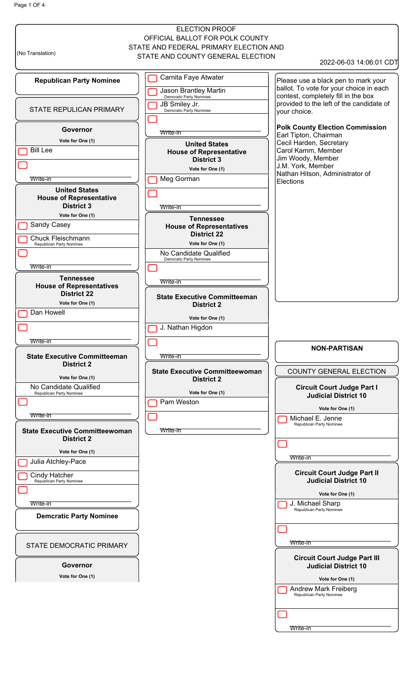Page 1 OF 4

|                                               | <b>ELECTION PROOF</b>                                      |                                                                   |
|-----------------------------------------------|------------------------------------------------------------|-------------------------------------------------------------------|
|                                               | OFFICIAL BALLOT FOR POLK COUNTY                            |                                                                   |
| (No Translation)                              | STATE AND FEDERAL PRIMARY ELECTION AND                     |                                                                   |
|                                               | STATE AND COUNTY GENERAL ELECTION                          | 2022-06-03 14:06:01 CDT                                           |
| <b>Republican Party Nominee</b>               | Carnita Faye Atwater                                       | Please use a black pen to mark your                               |
|                                               |                                                            | ballot. To vote for your choice in each                           |
|                                               | <b>Jason Brantley Martin</b><br>Demcratic Party Nominee    | contest, completely fill in the box                               |
| STATE REPULICAN PRIMARY                       | JB Smiley Jr.<br>Demcratic Party Nominee                   | provided to the left of the candidate of<br>your choice.          |
|                                               |                                                            |                                                                   |
| Governor                                      | Write-in                                                   | <b>Polk County Election Commission</b><br>Earl Tipton, Chairman   |
| Vote for One (1)                              | <b>United States</b>                                       | Cecil Harden, Secretary                                           |
| <b>Bill Lee</b>                               | <b>House of Representative</b>                             | Carol Kamm, Member                                                |
|                                               | <b>District 3</b>                                          | Jim Woody, Member<br>J.M. York, Member                            |
| Write-in                                      | Vote for One (1)<br>Meg Gorman                             | Nathan Hitson, Administrator of                                   |
| <b>United States</b>                          |                                                            | Elections                                                         |
| <b>House of Representative</b>                |                                                            |                                                                   |
| <b>District 3</b>                             | Write-in                                                   |                                                                   |
| Vote for One (1)                              | <b>Tennessee</b>                                           |                                                                   |
| Sandy Casey                                   | <b>House of Representatives</b><br><b>District 22</b>      |                                                                   |
| Chuck Fleischmann<br>Republican Party Nominee | Vote for One (1)                                           |                                                                   |
|                                               | No Candidate Qualified                                     |                                                                   |
| Write-in                                      | Demcratic Party Nominee                                    |                                                                   |
| <b>Tennessee</b>                              |                                                            |                                                                   |
| <b>House of Representatives</b>               | Write-in                                                   |                                                                   |
| <b>District 22</b>                            | <b>State Executive Committeeman</b>                        |                                                                   |
| Vote for One (1)                              | <b>District 2</b>                                          |                                                                   |
| Dan Howell                                    | Vote for One (1)                                           |                                                                   |
|                                               | J. Nathan Higdon                                           |                                                                   |
| Write-in                                      |                                                            |                                                                   |
| <b>State Executive Committeeman</b>           | Write-in                                                   | <b>NON-PARTISAN</b>                                               |
| <b>District 2</b>                             |                                                            |                                                                   |
| Vote for One (1)                              | <b>State Executive Committeewoman</b><br><b>District 2</b> | COUNTY GENERAL ELECTION                                           |
| No Candidate Qualified                        |                                                            | <b>Circuit Court Judge Part I</b>                                 |
| Republican Party Nominee                      | Vote for One (1)<br>Pam Weston                             | <b>Judicial District 10</b>                                       |
|                                               |                                                            | Vote for One (1)                                                  |
| Write-in                                      |                                                            | Michael E. Jenne<br>Republican Party Nominee                      |
| <b>State Executive Committeewoman</b>         | Write-in                                                   |                                                                   |
| <b>District 2</b>                             |                                                            |                                                                   |
| Vote for One (1)                              |                                                            | Write-in                                                          |
| Julia Atchley-Pace                            |                                                            |                                                                   |
| Cindy Hatcher<br>Republican Party Nominee     |                                                            | <b>Circuit Court Judge Part II</b><br><b>Judicial District 10</b> |
|                                               |                                                            | Vote for One (1)                                                  |
| Write-in                                      |                                                            | J. Michael Sharp                                                  |
| <b>Demcratic Party Nominee</b>                |                                                            | Republican Party Nominee                                          |
|                                               |                                                            |                                                                   |
|                                               |                                                            |                                                                   |
| STATE DEMOCRATIC PRIMARY                      |                                                            | Write-in                                                          |
|                                               |                                                            | <b>Circuit Court Judge Part III</b>                               |
| Governor                                      |                                                            | <b>Judicial District 10</b>                                       |
| Vote for One (1)                              |                                                            | Vote for One (1)                                                  |
|                                               |                                                            | <b>Andrew Mark Freiberg</b><br>Republican Party Nominee           |
|                                               |                                                            |                                                                   |
|                                               |                                                            |                                                                   |
|                                               |                                                            | Write-in                                                          |
|                                               |                                                            |                                                                   |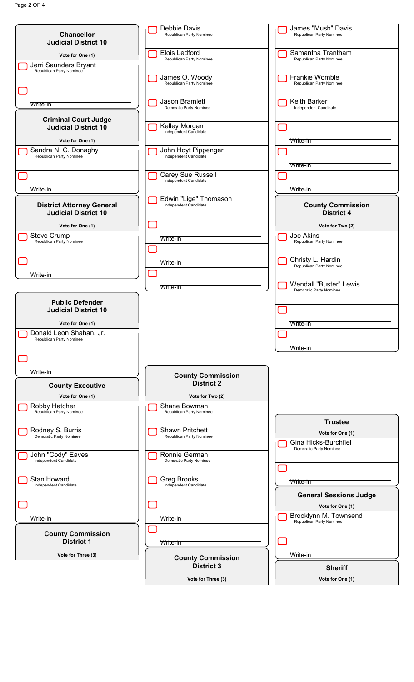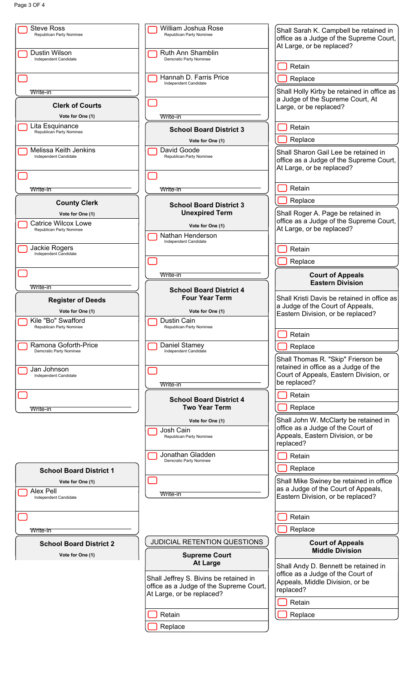| <b>Steve Ross</b>                               | William Joshua Rose                                                  |                                                                                                              |
|-------------------------------------------------|----------------------------------------------------------------------|--------------------------------------------------------------------------------------------------------------|
| Republican Party Nominee                        | Republican Party Nominee                                             | Shall Sarah K. Campbell be retained in<br>office as a Judge of the Supreme Court,                            |
|                                                 |                                                                      | At Large, or be replaced?                                                                                    |
| Dustin Wilson<br>Independent Candidate          | Ruth Ann Shamblin<br>Demcratic Party Nominee                         | Retain                                                                                                       |
|                                                 | Hannah D. Farris Price                                               | Replace                                                                                                      |
|                                                 | Independent Candidate                                                |                                                                                                              |
| Write-in                                        |                                                                      | Shall Holly Kirby be retained in office as<br>a Judge of the Supreme Court, At                               |
| <b>Clerk of Courts</b>                          |                                                                      | Large, or be replaced?                                                                                       |
| Vote for One (1)                                | Write-in                                                             |                                                                                                              |
| Lita Esquinance<br>Republican Party Nominee     | <b>School Board District 3</b>                                       | Retain                                                                                                       |
|                                                 | Vote for One (1)                                                     | Replace                                                                                                      |
| Melissa Keith Jenkins<br>Independent Candidate  | David Goode<br>Republican Party Nominee                              | Shall Sharon Gail Lee be retained in<br>office as a Judge of the Supreme Court,<br>At Large, or be replaced? |
|                                                 |                                                                      |                                                                                                              |
| Write-in                                        | Write-in                                                             | Retain                                                                                                       |
| <b>County Clerk</b>                             | <b>School Board District 3</b>                                       | Replace                                                                                                      |
| Vote for One (1)                                | <b>Unexpired Term</b>                                                | Shall Roger A. Page be retained in                                                                           |
| Catrice Wilcox Lowe<br>Republican Party Nominee | Vote for One (1)                                                     | office as a Judge of the Supreme Court,<br>At Large, or be replaced?                                         |
|                                                 | Nathan Henderson                                                     |                                                                                                              |
| Jackie Rogers                                   | Independent Candidate                                                | Retain                                                                                                       |
| Independent Candidate                           |                                                                      | Replace                                                                                                      |
|                                                 |                                                                      |                                                                                                              |
|                                                 | Write-in                                                             | <b>Court of Appeals</b><br><b>Eastern Division</b>                                                           |
| Write-in                                        | <b>School Board District 4</b>                                       |                                                                                                              |
| <b>Register of Deeds</b>                        | <b>Four Year Term</b>                                                | Shall Kristi Davis be retained in office as<br>a Judge of the Court of Appeals,                              |
| Vote for One (1)                                | Vote for One (1)                                                     | Eastern Division, or be replaced?                                                                            |
| Kile "Bo" Swafford<br>Republican Party Nominee  | Dustin Cain<br>Republican Party Nominee                              |                                                                                                              |
|                                                 |                                                                      | Retain                                                                                                       |
| Ramona Goforth-Price                            | Daniel Stamey                                                        | Replace                                                                                                      |
| Demcratic Party Nominee                         | Independent Candidate                                                | Shall Thomas R. "Skip" Frierson be                                                                           |
| Jan Johnson                                     |                                                                      | retained in office as a Judge of the                                                                         |
| Independent Candidate                           |                                                                      | Court of Appeals, Eastern Division, or<br>be replaced?                                                       |
|                                                 | Write-in                                                             |                                                                                                              |
|                                                 | <b>School Board District 4</b>                                       | Retain                                                                                                       |
| Write-in                                        | <b>Two Year Term</b>                                                 | Replace                                                                                                      |
|                                                 | Vote for One (1)                                                     | Shall John W. McClarty be retained in                                                                        |
|                                                 | Josh Cain<br>Republican Party Nominee                                | office as a Judge of the Court of<br>Appeals, Eastern Division, or be<br>replaced?                           |
|                                                 | Jonathan Gladden<br>Demcratic Party Nominee                          | Retain                                                                                                       |
| <b>School Board District 1</b>                  |                                                                      | Replace                                                                                                      |
| Vote for One (1)                                |                                                                      | Shall Mike Swiney be retained in office                                                                      |
| Alex Pell                                       | Write-in                                                             | as a Judge of the Court of Appeals,                                                                          |
| Independent Candidate                           |                                                                      | Eastern Division, or be replaced?                                                                            |
|                                                 |                                                                      | Retain                                                                                                       |
|                                                 |                                                                      | Replace                                                                                                      |
| Write-in                                        |                                                                      |                                                                                                              |
| <b>School Board District 2</b>                  | JUDICIAL RETENTION QUESTIONS                                         | <b>Court of Appeals</b><br><b>Middle Division</b>                                                            |
| Vote for One (1)                                | <b>Supreme Court</b><br><b>At Large</b>                              |                                                                                                              |
|                                                 |                                                                      | Shall Andy D. Bennett be retained in<br>office as a Judge of the Court of                                    |
|                                                 | Shall Jeffrey S. Bivins be retained in                               | Appeals, Middle Division, or be                                                                              |
|                                                 | office as a Judge of the Supreme Court,<br>At Large, or be replaced? | replaced?                                                                                                    |
|                                                 |                                                                      | Retain                                                                                                       |
|                                                 | Retain                                                               | Replace                                                                                                      |
|                                                 | Replace                                                              |                                                                                                              |
|                                                 |                                                                      |                                                                                                              |